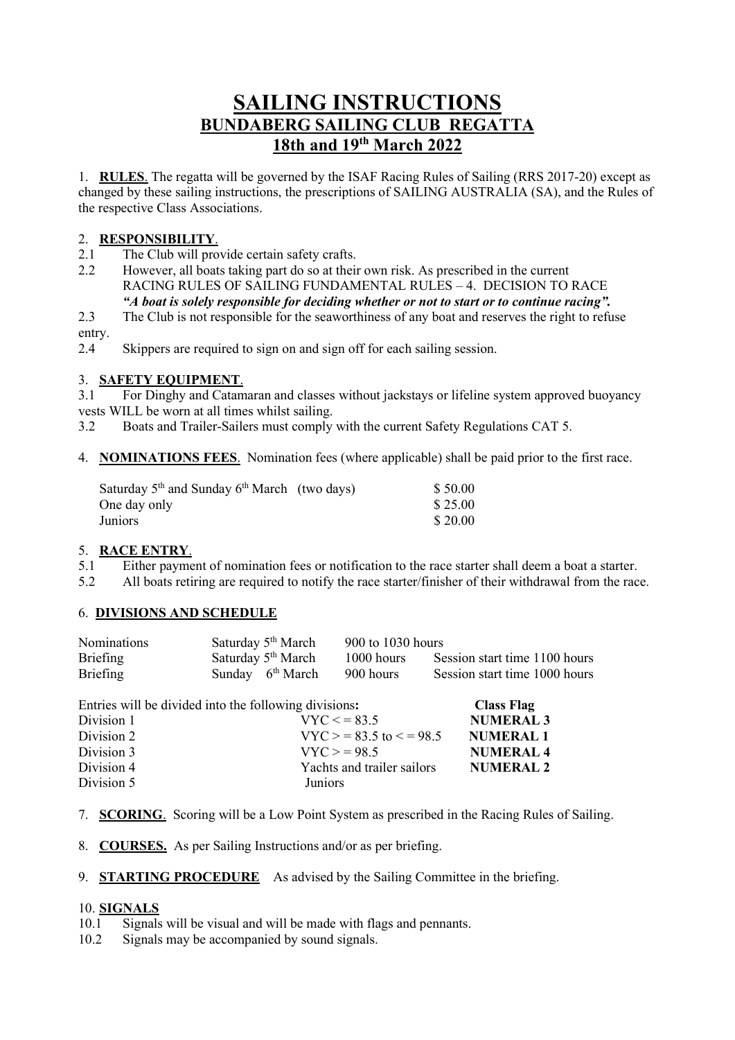# **SAILING INSTRUCTIONS BUNDABERG SAILING CLUB REGATTA 18th and 19th March 2022**

1. **RULES**. The regatta will be governed by the ISAF Racing Rules of Sailing (RRS 2017-20) except as changed by these sailing instructions, the prescriptions of SAILING AUSTRALIA (SA), and the Rules of the respective Class Associations.

## 2. **RESPONSIBILITY**.

- 2.1 The Club will provide certain safety crafts.
- 2.2 However, all boats taking part do so at their own risk. As prescribed in the current RACING RULES OF SAILING FUNDAMENTAL RULES – 4. DECISION TO RACE *"A boat is solely responsible for deciding whether or not to start or to continue racing".*
- 2.3 The Club is not responsible for the seaworthiness of any boat and reserves the right to refuse entry.
- 2.4 Skippers are required to sign on and sign off for each sailing session.

## 3. **SAFETY EQUIPMENT**.

3.1 For Dinghy and Catamaran and classes without jackstays or lifeline system approved buoyancy vests WILL be worn at all times whilst sailing.

- 3.2 Boats and Trailer-Sailers must comply with the current Safety Regulations CAT 5.
- 4. **NOMINATIONS FEES**. Nomination fees (where applicable) shall be paid prior to the first race.

| Saturday $5th$ and Sunday $6th$ March (two days) | \$50.00 |
|--------------------------------------------------|---------|
| One day only                                     | \$25.00 |
| Juniors                                          | \$20.00 |

#### 5. **RACE ENTRY**.

- 5.1 Either payment of nomination fees or notification to the race starter shall deem a boat a starter.
- 5.2 All boats retiring are required to notify the race starter/finisher of their withdrawal from the race.

#### 6. **DIVISIONS AND SCHEDULE**

| <b>Nominations</b> | Saturday 5 <sup>th</sup> March | 900 to 1030 hours |                               |
|--------------------|--------------------------------|-------------------|-------------------------------|
| Briefing           | Saturday $5th March$           | $1000$ hours      | Session start time 1100 hours |
| <b>Briefing</b>    | Sunday $6th March$             | 900 hours         | Session start time 1000 hours |

| Entries will be divided into the following divisions: |                               | <b>Class Flag</b> |
|-------------------------------------------------------|-------------------------------|-------------------|
| Division 1                                            | $VYC \le 83.5$                | <b>NUMERAL 3</b>  |
| Division 2                                            | $VYC > 83.5$ to $\leq$ = 98.5 | <b>NUMERAL1</b>   |
| Division 3                                            | $VYC = 98.5$                  | <b>NUMERAL 4</b>  |
| Division 4                                            | Yachts and trailer sailors    | <b>NUMERAL 2</b>  |
| Division 5                                            | <b>Juniors</b>                |                   |

- 7. **SCORING**. Scoring will be a Low Point System as prescribed in the Racing Rules of Sailing.
- 8. **COURSES.** As per Sailing Instructions and/or as per briefing.
- 9. **STARTING PROCEDURE** As advised by the Sailing Committee in the briefing.

#### 10. **SIGNALS**

- 10.1 Signals will be visual and will be made with flags and pennants.
- 10.2 Signals may be accompanied by sound signals.